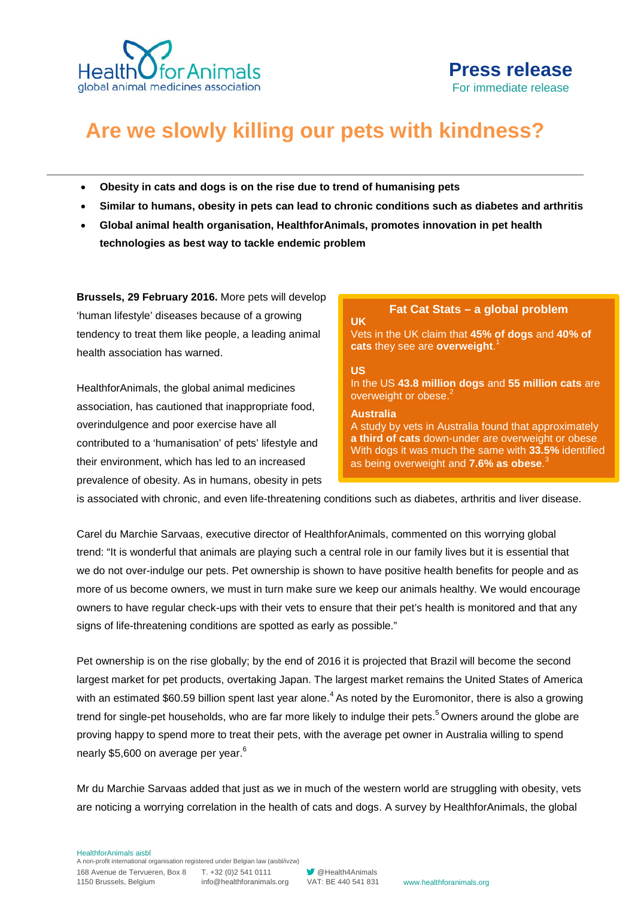

# **Are we slowly killing our pets with kindness?**

- **Obesity in cats and dogs is on the rise due to trend of humanising pets**
- **Similar to humans, obesity in pets can lead to chronic conditions such as diabetes and arthritis**
- **Global animal health organisation, HealthforAnimals, promotes innovation in pet health technologies as best way to tackle endemic problem**

**Brussels, 29 February 2016.** More pets will develop 'human lifestyle' diseases because of a growing tendency to treat them like people, a leading animal health association has warned.

HealthforAnimals, the global animal medicines association, has cautioned that inappropriate food, overindulgence and poor exercise have all contributed to a 'humanisation' of pets' lifestyle and their environment, which has led to an increased prevalence of obesity. As in humans, obesity in pets

## **Fat Cat Stats – a global problem**

Vets in the UK claim that **45% of dogs** and **40% of cats** they see are **overweight**. 1

### **US**

**UK**

In the US **43.8 million dogs** and **55 million cats** are overweight or obese.

### **Australia**

A study by vets in Australia found that approximately **a third of cats** down-under are overweight or obese. With dogs it was much the same with **33.5%** identified as being overweight and **7.6% as obese**. 3

is associated with chronic, and even life-threatening conditions such as diabetes, arthritis and liver disease.

Carel du Marchie Sarvaas, executive director of HealthforAnimals, commented on this worrying global trend: "It is wonderful that animals are playing such a central role in our family lives but it is essential that we do not over-indulge our pets. Pet ownership is shown to have positive health benefits for people and as more of us become owners, we must in turn make sure we keep our animals healthy. We would encourage owners to have regular check-ups with their vets to ensure that their pet's health is monitored and that any signs of life-threatening conditions are spotted as early as possible."

Pet ownership is on the rise globally; by the end of 2016 it is projected that Brazil will become the second largest market for pet products, overtaking Japan. The largest market remains the United States of America with an estimated \$60.59 billion spent last year alone.<sup>4</sup> As noted by the Euromonitor, there is also a growing trend for single-pet households, who are far more likely to indulge their pets.<sup>5</sup> Owners around the globe are proving happy to spend more to treat their pets, with the average pet owner in Australia willing to spend nearly \$5,600 on average per year.<sup>6</sup>

Mr du Marchie Sarvaas added that just as we in much of the western world are struggling with obesity, vets are noticing a worrying correlation in the health of cats and dogs. A survey by HealthforAnimals, the global